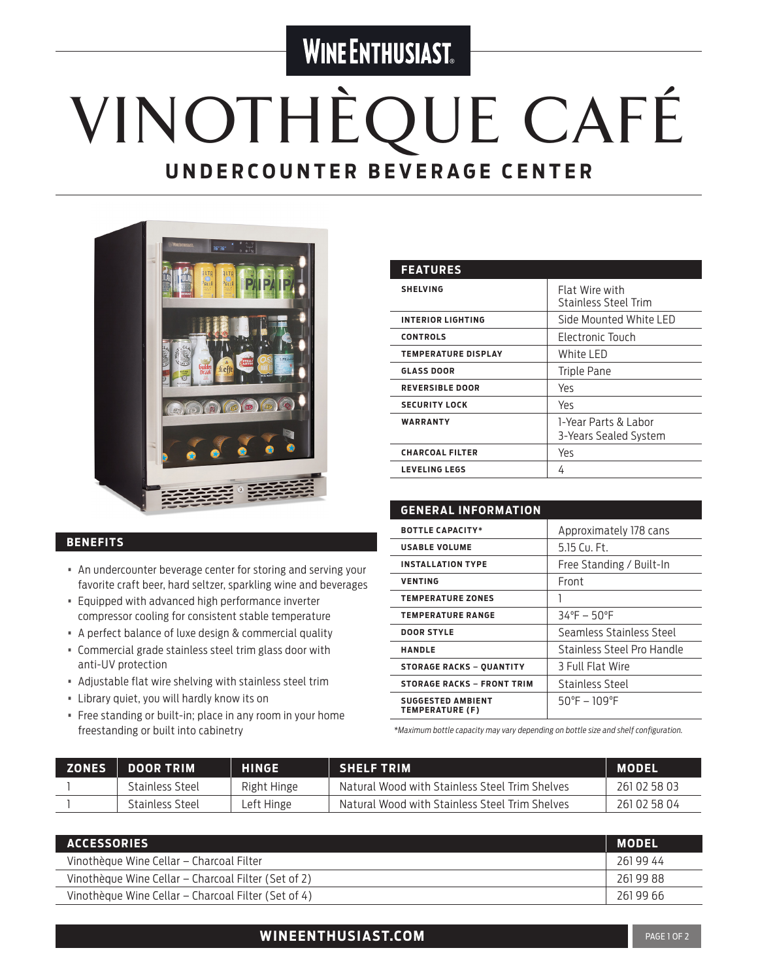### **WINE ENTHUSIAST**

# VINOTHÈQUE CAFÉ **UNDERCOUNTER BEVERAGE CENTER**



#### **BENEFITS**

- An undercounter beverage center for storing and serving your favorite craft beer, hard seltzer, sparkling wine and beverages
- Equipped with advanced high performance inverter compressor cooling for consistent stable temperature
- A perfect balance of luxe design & commercial quality
- Commercial grade stainless steel trim glass door with anti-UV protection
- Adjustable flat wire shelving with stainless steel trim
- Library quiet, you will hardly know its on
- Free standing or built-in; place in any room in your home freestanding or built into cabinetry

| <b>FEATURES</b>            |                                               |
|----------------------------|-----------------------------------------------|
| <b>SHELVING</b>            | Flat Wire with<br><b>Stainless Steel Trim</b> |
| <b>INTERIOR LIGHTING</b>   | Side Mounted White LED                        |
| <b>CONTROLS</b>            | Electronic Touch                              |
| <b>TEMPERATURE DISPLAY</b> | White LED                                     |
| <b>GLASS DOOR</b>          | Triple Pane                                   |
| <b>REVERSIBLE DOOR</b>     | Yes                                           |
| <b>SECURITY LOCK</b>       | Yes                                           |
| WARRANTY                   | 1-Year Parts & Labor<br>3-Years Sealed System |
| <b>CHARCOAL FILTER</b>     | Υеς                                           |
| <b>LEVELING LEGS</b>       | 4                                             |

| <b>GENERAL INFORMATION</b>                         |                              |
|----------------------------------------------------|------------------------------|
| <b>BOTTLE CAPACITY*</b>                            | Approximately 178 cans       |
| <b>USABLE VOLUME</b>                               | $5.15$ Cu. Ft.               |
| <b>INSTALLATION TYPE</b>                           | Free Standing / Built-In     |
| <b>VENTING</b>                                     | Front                        |
| <b>TEMPERATURE ZONES</b>                           |                              |
| <b>TEMPERATURE RANGE</b>                           | $34^{\circ}F - 50^{\circ}F$  |
| <b>DOOR STYLE</b>                                  | Seamless Stainless Steel     |
| <b>HANDLE</b>                                      | Stainless Steel Pro Handle   |
| <b>STORAGE RACKS - QUANTITY</b>                    | 3 Full Flat Wire             |
| <b>STORAGE RACKS - FRONT TRIM</b>                  | Stainless Steel              |
| <b>SUGGESTED AMBIENT</b><br><b>TEMPERATURE (F)</b> | $50^{\circ}F - 109^{\circ}F$ |

*\*Maximum bottle capacity may vary depending on bottle size and shelf configuration.*

| <b>ZONES</b> | <b>DOOR TRIM</b> | <b>HINGE</b> | <b>SHELF TRIM</b>                              | <b>TMODEL</b> |
|--------------|------------------|--------------|------------------------------------------------|---------------|
|              | Stainless Steel  | Right Hinge  | Natural Wood with Stainless Steel Trim Shelves | 261 02 58 03  |
|              | Stainless Steel  | Left Hinge   | Natural Wood with Stainless Steel Trim Shelves | 261 02 58 04  |

| <b>ACCESSORIES</b>                                  | <b>MODEL</b> |
|-----------------------------------------------------|--------------|
| Vinothèque Wine Cellar - Charcoal Filter            | 261 99 44    |
| Vinothèque Wine Cellar – Charcoal Filter (Set of 2) | 261 99 88    |
| Vinothèque Wine Cellar – Charcoal Filter (Set of 4) | 261 99 66    |

#### **WINEENTHUSIAST.COM PAGE 10F2** PAGE 10F2